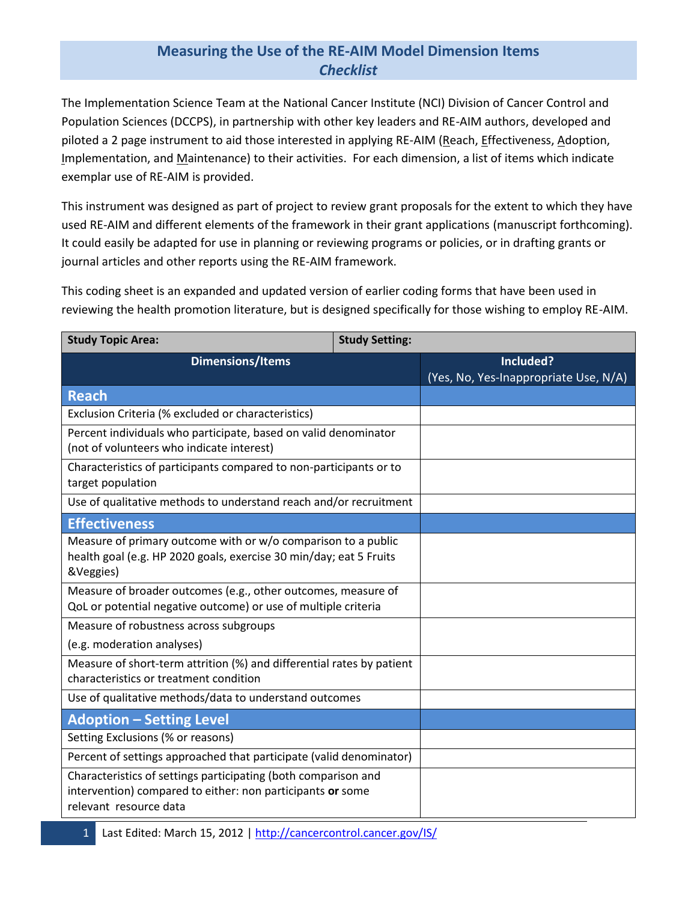## **Measuring the Use of the RE-AIM Model Dimension Items** *Checklist*

The Implementation Science Team at the National Cancer Institute (NCI) Division of Cancer Control and Population Sciences (DCCPS), in partnership with other key leaders and RE-AIM authors, developed and piloted a 2 page instrument to aid those interested in applying RE-AIM (Reach, Effectiveness, Adoption, Implementation, and Maintenance) to their activities. For each dimension, a list of items which indicate exemplar use of RE-AIM is provided.

This instrument was designed as part of project to review grant proposals for the extent to which they have used RE-AIM and different elements of the framework in their grant applications (manuscript forthcoming). It could easily be adapted for use in planning or reviewing programs or policies, or in drafting grants or journal articles and other reports using the RE-AIM framework.

This coding sheet is an expanded and updated version of earlier coding forms that have been used in reviewing the health promotion literature, but is designed specifically for those wishing to employ RE-AIM.

| <b>Study Topic Area:</b>                                                                                                                               | <b>Study Setting:</b> |                                                    |
|--------------------------------------------------------------------------------------------------------------------------------------------------------|-----------------------|----------------------------------------------------|
| <b>Dimensions/Items</b>                                                                                                                                |                       | Included?<br>(Yes, No, Yes-Inappropriate Use, N/A) |
| <b>Reach</b>                                                                                                                                           |                       |                                                    |
| Exclusion Criteria (% excluded or characteristics)                                                                                                     |                       |                                                    |
| Percent individuals who participate, based on valid denominator<br>(not of volunteers who indicate interest)                                           |                       |                                                    |
| Characteristics of participants compared to non-participants or to<br>target population                                                                |                       |                                                    |
| Use of qualitative methods to understand reach and/or recruitment                                                                                      |                       |                                                    |
| <b>Effectiveness</b>                                                                                                                                   |                       |                                                    |
| Measure of primary outcome with or w/o comparison to a public<br>health goal (e.g. HP 2020 goals, exercise 30 min/day; eat 5 Fruits<br>&Veggies)       |                       |                                                    |
| Measure of broader outcomes (e.g., other outcomes, measure of<br>QoL or potential negative outcome) or use of multiple criteria                        |                       |                                                    |
| Measure of robustness across subgroups                                                                                                                 |                       |                                                    |
| (e.g. moderation analyses)                                                                                                                             |                       |                                                    |
| Measure of short-term attrition (%) and differential rates by patient<br>characteristics or treatment condition                                        |                       |                                                    |
| Use of qualitative methods/data to understand outcomes                                                                                                 |                       |                                                    |
| <b>Adoption - Setting Level</b>                                                                                                                        |                       |                                                    |
| Setting Exclusions (% or reasons)                                                                                                                      |                       |                                                    |
| Percent of settings approached that participate (valid denominator)                                                                                    |                       |                                                    |
| Characteristics of settings participating (both comparison and<br>intervention) compared to either: non participants or some<br>relevant resource data |                       |                                                    |